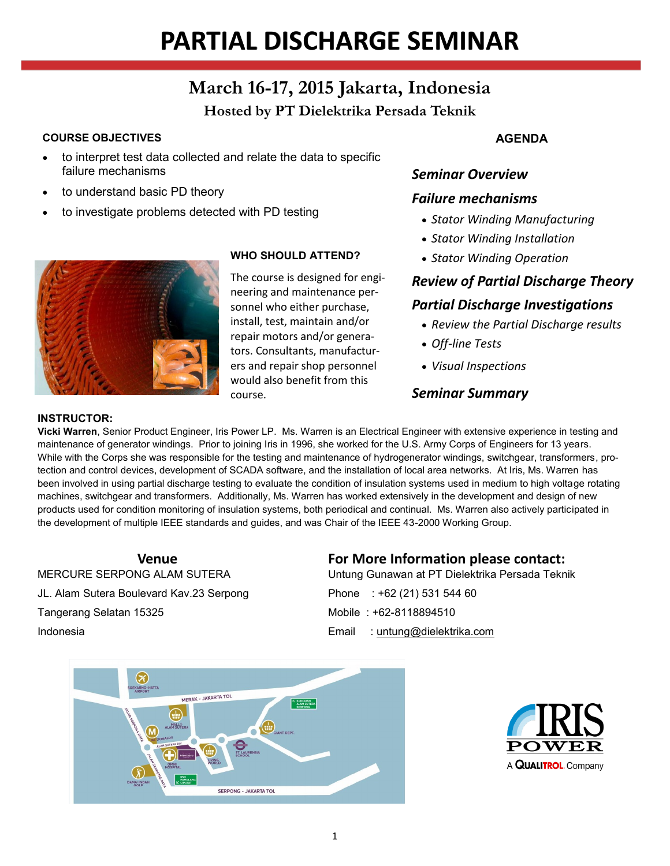# **PARTIAL DISCHARGE SEMINAR**

# **March 16-17, 2015 Jakarta, Indonesia**

# **Hosted by PT Dielektrika Persada Teknik**

#### **COURSE OBJECTIVES**

- to interpret test data collected and relate the data to specific failure mechanisms
- to understand basic PD theory
- to investigate problems detected with PD testing



#### **WHO SHOULD ATTEND?**

The course is designed for engineering and maintenance personnel who either purchase, install, test, maintain and/or repair motors and/or generators. Consultants, manufacturers and repair shop personnel would also benefit from this course.

#### **AGENDA**

#### *Seminar Overview*

#### *Failure mechanisms*

- *Stator Winding Manufacturing*
- *Stator Winding Installation*
- *Stator Winding Operation*

#### *Review of Partial Discharge Theory*

#### *Partial Discharge Investigations*

- *Review the Partial Discharge results*
- *Off-line Tests*
- *Visual Inspections*

#### *Seminar Summary*

#### **INSTRUCTOR:**

**Vicki Warren**, Senior Product Engineer, Iris Power LP. Ms. Warren is an Electrical Engineer with extensive experience in testing and maintenance of generator windings. Prior to joining Iris in 1996, she worked for the U.S. Army Corps of Engineers for 13 years. While with the Corps she was responsible for the testing and maintenance of hydrogenerator windings, switchgear, transformers, protection and control devices, development of SCADA software, and the installation of local area networks. At Iris, Ms. Warren has been involved in using partial discharge testing to evaluate the condition of insulation systems used in medium to high voltage rotating machines, switchgear and transformers. Additionally, Ms. Warren has worked extensively in the development and design of new products used for condition monitoring of insulation systems, both periodical and continual. Ms. Warren also actively participated in the development of multiple IEEE standards and guides, and was Chair of the IEEE 43-2000 Working Group.

#### **Venue**

MERCURE SERPONG ALAM SUTERA JL. Alam Sutera Boulevard Kav.23 Serpong Tangerang Selatan 15325 Indonesia

### **For More Information please contact:**

Untung Gunawan at PT Dielektrika Persada Teknik Phone : +62 (21) 531 544 60 Mobile : +62-8118894510 Email : [untung@dielektrika.com](mailto:untung@dielektrika.com)